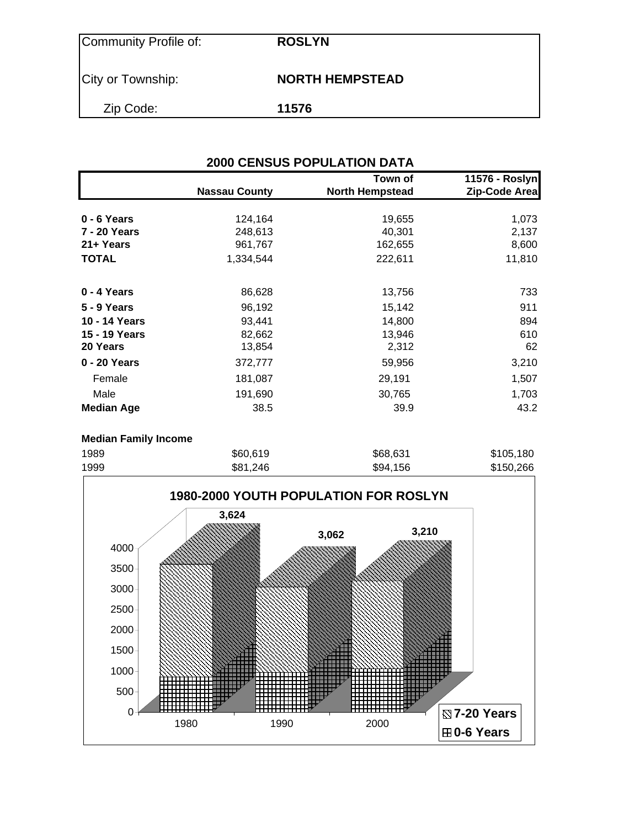| Community Profile of: | <b>ROSLYN</b>          |
|-----------------------|------------------------|
| City or Township:     | <b>NORTH HEMPSTEAD</b> |
| Zip Code:             | 11576                  |

| Town of<br>11576 - Roslyn |                      |                        |               |  |  |  |  |
|---------------------------|----------------------|------------------------|---------------|--|--|--|--|
|                           | <b>Nassau County</b> | <b>North Hempstead</b> | Zip-Code Area |  |  |  |  |
| 0 - 6 Years               | 124,164              | 19,655                 | 1,073         |  |  |  |  |
| <b>7 - 20 Years</b>       | 248,613              | 40,301                 | 2,137         |  |  |  |  |
| 21+ Years                 | 961,767              | 162,655                | 8,600         |  |  |  |  |
| <b>TOTAL</b>              | 1,334,544            | 222,611                | 11,810        |  |  |  |  |
| 0 - 4 Years               | 86,628               | 13,756                 | 733           |  |  |  |  |
| 5 - 9 Years               | 96,192               | 15,142                 | 911           |  |  |  |  |
| 10 - 14 Years             | 93,441               | 14,800                 | 894           |  |  |  |  |
| 15 - 19 Years             | 82,662               | 13,946                 | 610           |  |  |  |  |
| 20 Years                  | 13,854               | 2,312                  | 62            |  |  |  |  |
| 0 - 20 Years              | 372,777              | 59,956                 | 3,210         |  |  |  |  |
| Female                    | 181,087              | 29,191                 | 1,507         |  |  |  |  |
| Male                      | 191,690              | 30,765                 | 1,703         |  |  |  |  |
| <b>Median Age</b>         | 38.5                 | 39.9                   | 43.2          |  |  |  |  |

### **Median Family Income**

| 1989 | \$60,619 | \$68,631 | \$105,180 |
|------|----------|----------|-----------|
| 1999 | \$81,246 | \$94,156 | \$150,266 |

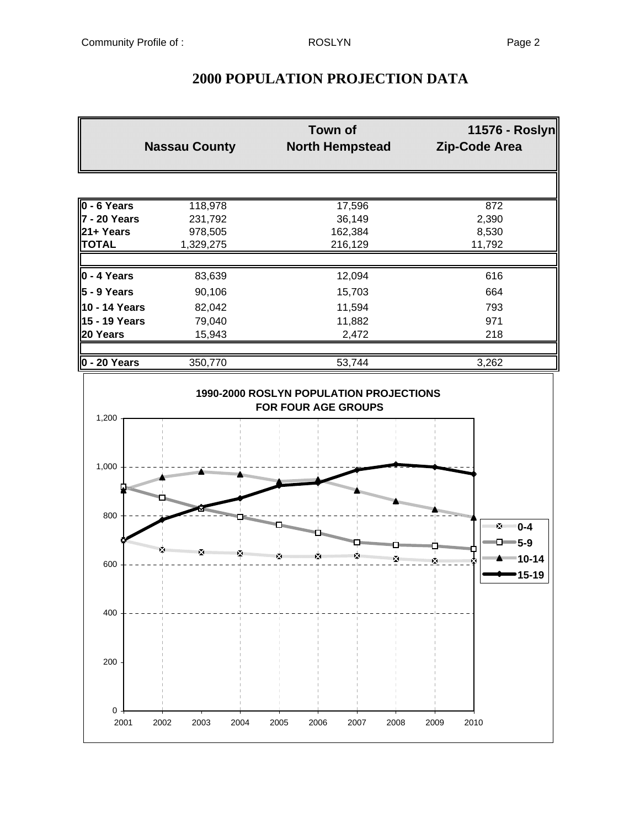| <b>Nassau County</b> |           | <b>Town of</b><br><b>North Hempstead</b> | 11576 - Roslyn<br>Zip-Code Area |  |
|----------------------|-----------|------------------------------------------|---------------------------------|--|
|                      |           |                                          |                                 |  |
| 0 - 6 Years          | 118,978   | 17,596                                   | 872                             |  |
| 7 - 20 Years         | 231,792   | 36,149                                   | 2,390                           |  |
| 21+ Years            | 978,505   | 162,384                                  | 8,530                           |  |
| <b>TOTAL</b>         | 1,329,275 | 216,129                                  | 11,792                          |  |
| $\ 0 - 4$ Years      | 83,639    | 12,094                                   | 616                             |  |
| 5 - 9 Years          | 90,106    | 15,703                                   | 664                             |  |
| 10 - 14 Years        | 82,042    | 11,594                                   | 793                             |  |
| 15 - 19 Years        | 79,040    | 11,882                                   | 971                             |  |
| 20 Years             | 15,943    | 2,472                                    | 218                             |  |
| $0 - 20$ Years       | 350,770   | 53,744                                   | 3,262                           |  |

# **2000 POPULATION PROJECTION DATA**

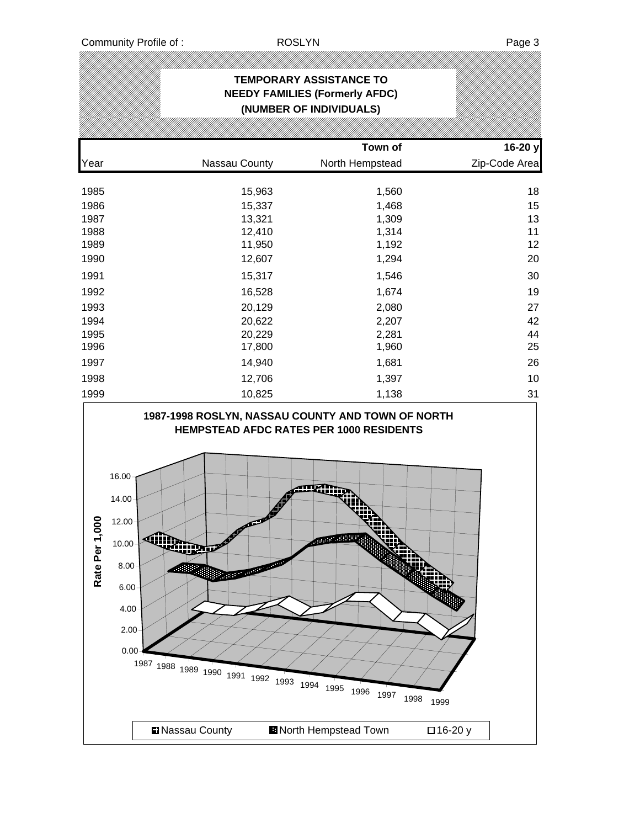|                 |                                                                                                                                                                                                                       |        | <b>TEMPORARY ASSISTANCE TO</b><br><b>NEEDY FAMILIES (Formerly AFDC)</b><br>(NUMBER OF INDIVIDUALS) |               |
|-----------------|-----------------------------------------------------------------------------------------------------------------------------------------------------------------------------------------------------------------------|--------|----------------------------------------------------------------------------------------------------|---------------|
|                 |                                                                                                                                                                                                                       |        | Town of                                                                                            | 16-20 y       |
| Year            | Nassau County                                                                                                                                                                                                         |        | North Hempstead                                                                                    | Zip-Code Area |
| 1985            |                                                                                                                                                                                                                       | 15,963 | 1,560                                                                                              | 18            |
| 1986            |                                                                                                                                                                                                                       | 15,337 | 1,468                                                                                              | 15            |
| 1987            |                                                                                                                                                                                                                       | 13,321 | 1,309                                                                                              | 13            |
| 1988            |                                                                                                                                                                                                                       | 12,410 | 1,314                                                                                              | 11            |
| 1989            |                                                                                                                                                                                                                       | 11,950 | 1,192                                                                                              | 12            |
| 1990            |                                                                                                                                                                                                                       | 12,607 | 1,294                                                                                              | 20            |
| 1991            |                                                                                                                                                                                                                       | 15,317 | 1,546                                                                                              | 30            |
| 1992            |                                                                                                                                                                                                                       | 16,528 | 1,674                                                                                              | 19            |
| 1993            |                                                                                                                                                                                                                       | 20,129 | 2,080                                                                                              | 27            |
| 1994            |                                                                                                                                                                                                                       | 20,622 | 2,207                                                                                              | 42            |
| 1995            |                                                                                                                                                                                                                       | 20,229 | 2,281                                                                                              | 44            |
| 1996            |                                                                                                                                                                                                                       | 17,800 | 1,960                                                                                              | 25            |
| 1997            |                                                                                                                                                                                                                       | 14,940 | 1,681                                                                                              | 26            |
| 1998            |                                                                                                                                                                                                                       | 12,706 | 1,397                                                                                              | 10            |
| 1999            |                                                                                                                                                                                                                       | 10,825 | 1,138                                                                                              | 31            |
| 000<br>Rate Per | 1987-1998 ROSLYN, NASSAU COUNTY AND TOWN OF NORTH<br>16.00<br>14.00<br>12.00<br>10.00<br>,,,,<br>8.00<br><b>MARIA CONTRACTOR</b><br>6.00<br>4.00<br>2.00<br>0.00<br>1987 1988 1989 1990 1991 1992 1993 1994 1995 1996 | ☞      | HEMPSTEAD AFDC RATES PER 1000 RESIDENTS<br>uamb<br>1997                                            | 1998<br>1999  |
|                 | Nassau County                                                                                                                                                                                                         |        | <b>D</b> North Hempstead Town                                                                      | □16-20 y      |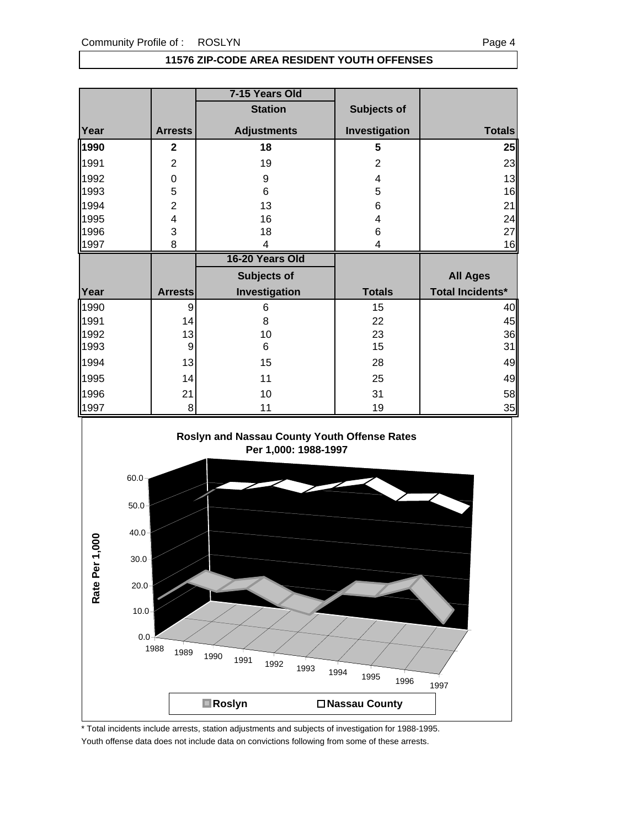#### **11576 ZIP-CODE AREA RESIDENT YOUTH OFFENSES**

|      |                  | 7-15 Years Old     |                |                         |
|------|------------------|--------------------|----------------|-------------------------|
|      |                  | <b>Station</b>     | Subjects of    |                         |
| Year | <b>Arrests</b>   | <b>Adjustments</b> | Investigation  | <b>Totals</b>           |
| 1990 | $\mathbf{2}$     | 18                 | 5              | 25                      |
| 1991 | $\overline{2}$   | 19                 | $\overline{2}$ | 23                      |
| 1992 | $\boldsymbol{0}$ | 9                  | 4              | 13                      |
| 1993 | 5                | 6                  | 5              | 16                      |
| 1994 | $\overline{c}$   | 13                 | 6              | 21                      |
| 1995 | 4                | 16                 | 4              | 24                      |
| 1996 | 3                | 18                 | 6              | 27                      |
| 1997 | 8                | 4                  | 4              | 16                      |
|      |                  |                    |                |                         |
|      |                  | 16-20 Years Old    |                |                         |
|      |                  | Subjects of        |                | <b>All Ages</b>         |
| Year | <b>Arrests</b>   | Investigation      | <b>Totals</b>  | <b>Total Incidents*</b> |
| 1990 | 9                | 6                  | 15             | 40                      |
| 1991 | 14               | 8                  | 22             | 45                      |
| 1992 | 13               | 10                 | 23             | 36                      |
| 1993 | 9                | 6                  | 15             | 31                      |
| 1994 | 13               | 15                 | 28             | 49                      |
| 1995 | 14               | 11                 | 25             | 49                      |
| 1996 | 21               | 10                 | 31             | 58                      |



\* Total incidents include arrests, station adjustments and subjects of investigation for 1988-1995. Youth offense data does not include data on convictions following from some of these arrests.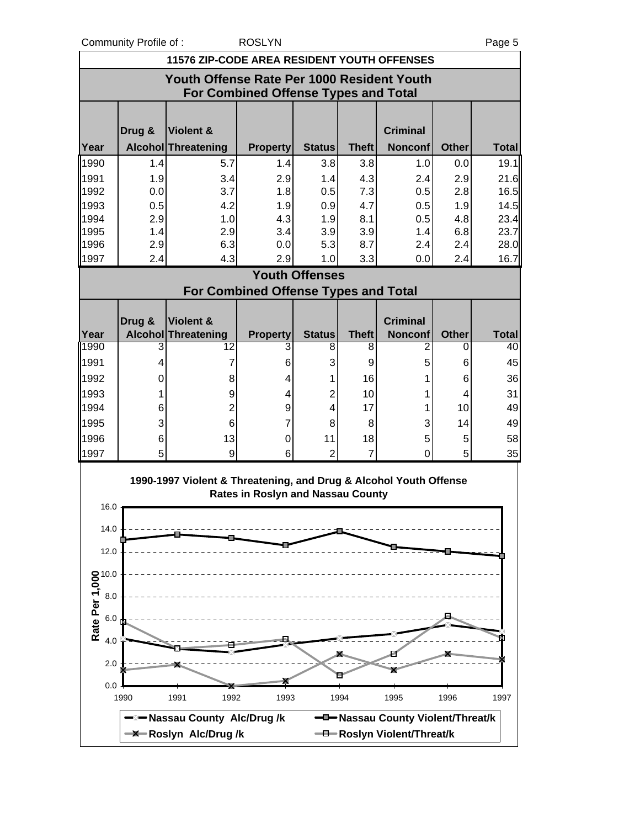Community Profile of : ROSLYN Page 5

|                                                               | <b>11576 ZIP-CODE AREA RESIDENT YOUTH OFFENSES</b>                                 |                                                                   |                                             |                       |                      |                                   |              |              |  |  |
|---------------------------------------------------------------|------------------------------------------------------------------------------------|-------------------------------------------------------------------|---------------------------------------------|-----------------------|----------------------|-----------------------------------|--------------|--------------|--|--|
|                                                               | Youth Offense Rate Per 1000 Resident Youth<br>For Combined Offense Types and Total |                                                                   |                                             |                       |                      |                                   |              |              |  |  |
|                                                               | Drug &                                                                             | <b>Violent &amp;</b>                                              |                                             |                       |                      | <b>Criminal</b>                   |              |              |  |  |
| Year                                                          |                                                                                    | Alcohol Threatening                                               | <b>Property</b>                             | <b>Status</b>         | <b>Theft</b>         | <b>Nonconf</b>                    | <b>Other</b> | <b>Total</b> |  |  |
| 1990                                                          | 1.4                                                                                | 5.7                                                               | 1.4                                         | 3.8                   | 3.8                  | 1.0                               | 0.0          | 19.1         |  |  |
| 1991                                                          | 1.9                                                                                | 3.4                                                               | 2.9                                         | 1.4                   | 4.3                  | 2.4                               | 2.9          | 21.6         |  |  |
| 1992                                                          | 0.0                                                                                | 3.7                                                               | 1.8                                         | 0.5                   | 7.3                  | 0.5                               | 2.8          | 16.5         |  |  |
| 1993                                                          | 0.5                                                                                | 4.2                                                               | 1.9                                         | 0.9                   | 4.7                  | 0.5                               | 1.9          | 14.5         |  |  |
| 1994                                                          | 2.9                                                                                | 1.0                                                               | 4.3                                         | 1.9                   | 8.1                  | 0.5                               | 4.8          | 23.4         |  |  |
| 1995<br>1996                                                  | 1.4<br>2.9                                                                         | 2.9<br>6.3                                                        | 3.4<br>0.0                                  | 3.9<br>5.3            | 3.9<br>8.7           | 1.4<br>2.4                        | 6.8<br>2.4   | 23.7<br>28.0 |  |  |
| 1997                                                          | 2.4                                                                                | 4.3                                                               | 2.9                                         | 1.0                   | 3.3                  | 0.0                               | 2.4          | 16.7         |  |  |
|                                                               |                                                                                    |                                                                   |                                             | <b>Youth Offenses</b> |                      |                                   |              |              |  |  |
|                                                               |                                                                                    |                                                                   | <b>For Combined Offense Types and Total</b> |                       |                      |                                   |              |              |  |  |
|                                                               |                                                                                    |                                                                   |                                             |                       |                      |                                   |              |              |  |  |
|                                                               | Drug &                                                                             | Violent &                                                         |                                             |                       |                      | <b>Criminal</b>                   |              |              |  |  |
| Year                                                          |                                                                                    | Alcohol Threatening                                               | <b>Property</b>                             | <b>Status</b>         | <b>Theft</b>         | <b>Nonconf</b>                    | <b>Other</b> | <b>Total</b> |  |  |
| 1990                                                          | 3                                                                                  | 12                                                                | 3                                           | 8                     | 8                    | 2                                 | 0            | 40           |  |  |
| 1991                                                          | 4                                                                                  | 7                                                                 | 6                                           | 3                     | 9                    | 5                                 | 6            | 45           |  |  |
| 1992                                                          | 0                                                                                  | 8                                                                 | 4                                           | 1                     | 16                   |                                   | 6            | 36           |  |  |
| 1993                                                          | 1                                                                                  | $\boldsymbol{9}$                                                  | 4                                           | $\overline{2}$        | 10                   | 1                                 | 4            | 31           |  |  |
| 1994                                                          | 6                                                                                  | $\overline{c}$                                                    | 9                                           | 4                     | 17                   | 1                                 | 10           | 49           |  |  |
| 1995                                                          | 3                                                                                  | 6                                                                 | 7                                           | 8                     | 8                    | 3                                 | 14           | 49           |  |  |
| 1996<br>1997                                                  | 6<br>5                                                                             | 13<br>9                                                           | 0<br>6                                      | 11<br>$\overline{2}$  | 18<br>$\overline{7}$ | 5<br>0                            | 5<br>5       | 58           |  |  |
|                                                               |                                                                                    |                                                                   |                                             |                       |                      |                                   |              | 35           |  |  |
|                                                               |                                                                                    | 1990-1997 Violent & Threatening, and Drug & Alcohol Youth Offense | <b>Rates in Roslyn and Nassau County</b>    |                       |                      |                                   |              |              |  |  |
| 16.0                                                          |                                                                                    |                                                                   |                                             |                       |                      |                                   |              |              |  |  |
| 14.0                                                          |                                                                                    |                                                                   |                                             |                       |                      |                                   |              |              |  |  |
|                                                               |                                                                                    |                                                                   |                                             |                       |                      |                                   |              |              |  |  |
| 12.0                                                          |                                                                                    |                                                                   |                                             |                       |                      |                                   |              |              |  |  |
|                                                               |                                                                                    |                                                                   |                                             |                       |                      |                                   |              |              |  |  |
| <b>Rate Per 1,000</b><br><b>Rate Per 1</b> ,000<br>6.0<br>4.0 |                                                                                    |                                                                   |                                             |                       |                      |                                   |              |              |  |  |
|                                                               |                                                                                    |                                                                   |                                             |                       |                      |                                   |              |              |  |  |
| 4.0                                                           |                                                                                    |                                                                   |                                             |                       |                      |                                   |              |              |  |  |
| 2.0                                                           |                                                                                    |                                                                   |                                             |                       |                      |                                   |              |              |  |  |
| 0.0                                                           |                                                                                    |                                                                   |                                             |                       |                      |                                   |              |              |  |  |
|                                                               | 1990                                                                               | 1991<br>1992                                                      | 1993                                        |                       | 1994                 | 1995                              | 1996         | 1997         |  |  |
|                                                               |                                                                                    | -Nassau County Alc/Drug/k                                         |                                             |                       |                      | -D-Nassau County Violent/Threat/k |              |              |  |  |
|                                                               |                                                                                    | -X-Roslyn Alc/Drug/k                                              |                                             |                       |                      | -B-Roslyn Violent/Threat/k        |              |              |  |  |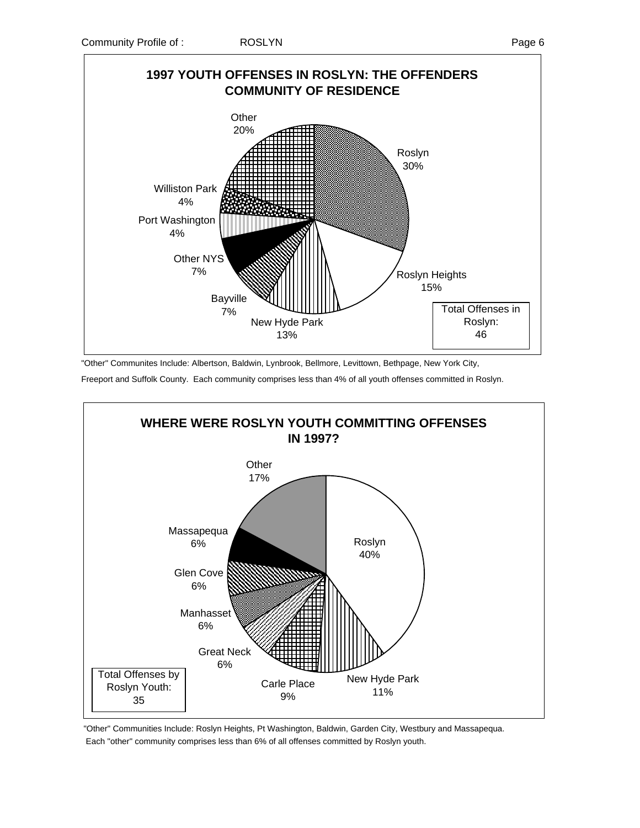

"Other" Communites Include: Albertson, Baldwin, Lynbrook, Bellmore, Levittown, Bethpage, New York City,

Freeport and Suffolk County. Each community comprises less than 4% of all youth offenses committed in Roslyn.



 "Other" Communities Include: Roslyn Heights, Pt Washington, Baldwin, Garden City, Westbury and Massapequa. Each "other" community comprises less than 6% of all offenses committed by Roslyn youth.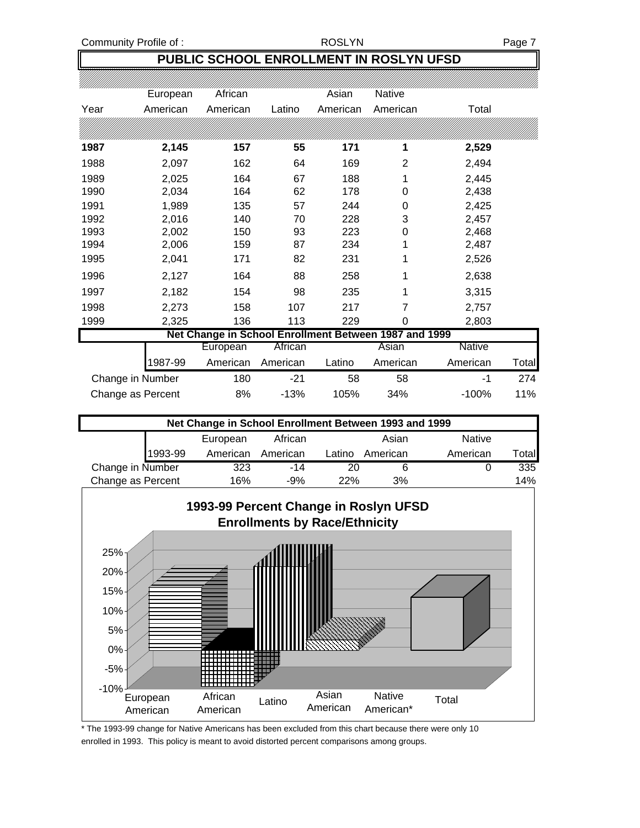## **PUBLIC SCHOOL ENROLLMENT IN ROSLYN UFSD**

|      | European | African                                               |          | Asian    | <b>Native</b> |               |       |
|------|----------|-------------------------------------------------------|----------|----------|---------------|---------------|-------|
| Year | American | American                                              | Latino   | American | American      | Total         |       |
|      |          |                                                       |          |          |               |               |       |
| 1987 | 2,145    | 157                                                   | 55       | 171      | 1             | 2,529         |       |
| 1988 | 2,097    | 162                                                   | 64       | 169      | 2             | 2,494         |       |
| 1989 | 2,025    | 164                                                   | 67       | 188      | 1             | 2,445         |       |
| 1990 | 2,034    | 164                                                   | 62       | 178      | 0             | 2,438         |       |
| 1991 | 1,989    | 135                                                   | 57       | 244      | 0             | 2,425         |       |
| 1992 | 2,016    | 140                                                   | 70       | 228      | 3             | 2,457         |       |
| 1993 | 2,002    | 150                                                   | 93       | 223      | 0             | 2,468         |       |
| 1994 | 2,006    | 159                                                   | 87       | 234      |               | 2,487         |       |
| 1995 | 2,041    | 171                                                   | 82       | 231      | 1             | 2,526         |       |
| 1996 | 2,127    | 164                                                   | 88       | 258      | 1             | 2,638         |       |
| 1997 | 2,182    | 154                                                   | 98       | 235      | 1             | 3,315         |       |
| 1998 | 2,273    | 158                                                   | 107      | 217      | 7             | 2,757         |       |
| 1999 | 2,325    | 136                                                   | 113      | 229      | 0             | 2,803         |       |
|      |          | Net Change in School Enrollment Between 1987 and 1999 |          |          |               |               |       |
|      |          | European                                              | African  |          | Asian         | <b>Native</b> |       |
|      | 1987-99  | American                                              | American | Latino   | American      | American      | Total |
|      |          |                                                       |          |          |               |               |       |

| Change in Number  | 180 | $-21$  | 58   | 58  |          | 274 |
|-------------------|-----|--------|------|-----|----------|-----|
| Change as Percent | 8%  | $-13%$ | 105% | 34% | $-100\%$ | 11% |
|                   |     |        |      |     |          |     |

| Net Change in School Enrollment Between 1993 and 1999 |         |          |          |        |          |               |        |
|-------------------------------------------------------|---------|----------|----------|--------|----------|---------------|--------|
|                                                       |         | European | African  |        | Asian    | <b>Native</b> |        |
|                                                       | 1993-99 | American | American | Latino | American | American      | Totall |
| Change in Number                                      |         | 323      | $-14$    | 20     |          |               | 335    |
| Change as Percent                                     |         | 16%      | $-9%$    | 22%    | 3%       |               | 14%    |



\* The 1993-99 change for Native Americans has been excluded from this chart because there were only 10 enrolled in 1993. This policy is meant to avoid distorted percent comparisons among groups.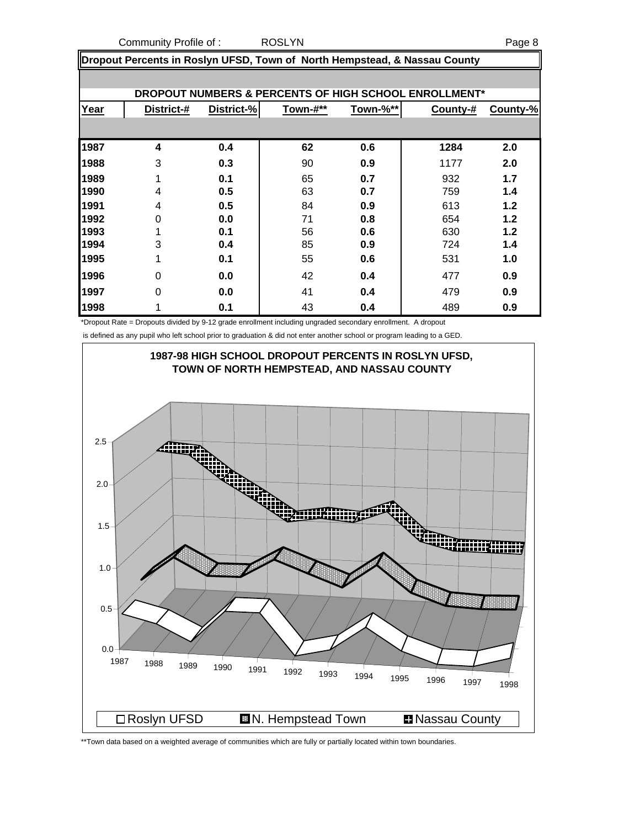Community Profile of : ROSLYN Page 8

**Dropout Percents in Roslyn UFSD, Town of North Hempstead, & Nassau County**

|      |            |            |          |                 | DROPOUT NUMBERS & PERCENTS OF HIGH SCHOOL ENROLLMENT* |          |
|------|------------|------------|----------|-----------------|-------------------------------------------------------|----------|
| Year | District-# | District-% | Town-#** | <u>Town-%**</u> | County-#                                              | County-% |
|      |            |            |          |                 |                                                       |          |
| 1987 | 4          | 0.4        | 62       | 0.6             | 1284                                                  | 2.0      |
| 1988 | 3          | 0.3        | 90       | 0.9             | 1177                                                  | 2.0      |
| 1989 | 1          | 0.1        | 65       | 0.7             | 932                                                   | 1.7      |
| 1990 | 4          | 0.5        | 63       | 0.7             | 759                                                   | 1.4      |
| 1991 | 4          | 0.5        | 84       | 0.9             | 613                                                   | 1.2      |
| 1992 | $\Omega$   | 0.0        | 71       | 0.8             | 654                                                   | 1.2      |
| 1993 |            | 0.1        | 56       | 0.6             | 630                                                   | 1.2      |
| 1994 | 3          | 0.4        | 85       | 0.9             | 724                                                   | 1.4      |
| 1995 |            | 0.1        | 55       | 0.6             | 531                                                   | 1.0      |
| 1996 | 0          | 0.0        | 42       | 0.4             | 477                                                   | 0.9      |
| 1997 | $\Omega$   | 0.0        | 41       | 0.4             | 479                                                   | 0.9      |
| 1998 |            | 0.1        | 43       | 0.4             | 489                                                   | 0.9      |

\*Dropout Rate = Dropouts divided by 9-12 grade enrollment including ungraded secondary enrollment. A dropout

is defined as any pupil who left school prior to graduation & did not enter another school or program leading to a GED.



\*\*Town data based on a weighted average of communities which are fully or partially located within town boundaries.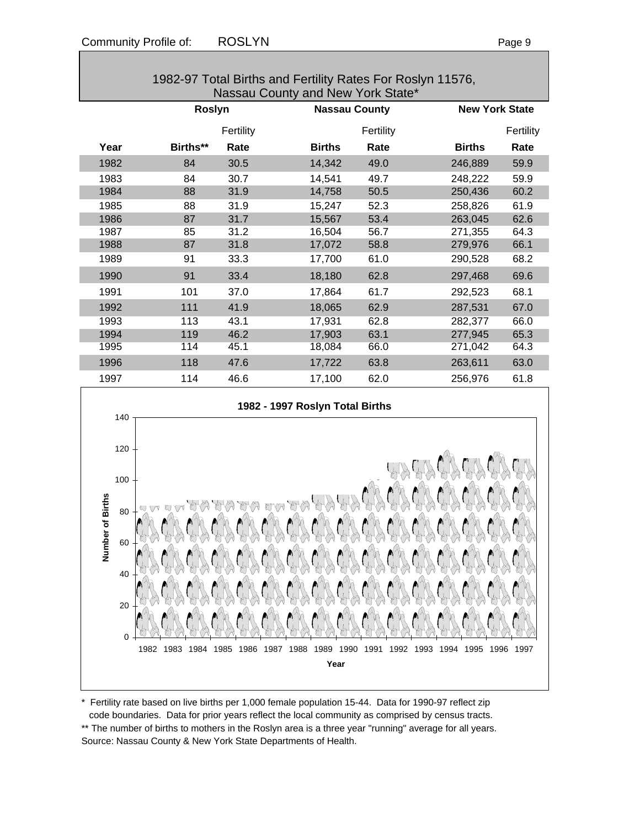|                                                                    |          | Fertility |                                                                                                                                    | Fertility |               | Fertility |
|--------------------------------------------------------------------|----------|-----------|------------------------------------------------------------------------------------------------------------------------------------|-----------|---------------|-----------|
| Year                                                               | Births** | Rate      | <b>Births</b>                                                                                                                      | Rate      | <b>Births</b> | Rate      |
| 1982                                                               | 84       | 30.5      | 14,342                                                                                                                             | 49.0      | 246,889       | 59.9      |
| 1983                                                               | 84       | 30.7      | 14,541                                                                                                                             | 49.7      | 248,222       | 59.9      |
| 1984                                                               | 88       | 31.9      | 14,758                                                                                                                             | 50.5      | 250,436       | 60.2      |
| 1985                                                               | 88       | 31.9      | 15,247                                                                                                                             | 52.3      | 258,826       | 61.9      |
| 1986                                                               | 87       | 31.7      | 15,567                                                                                                                             | 53.4      | 263,045       | 62.6      |
| 1987                                                               | 85       | 31.2      | 16,504                                                                                                                             | 56.7      | 271,355       | 64.3      |
| 1988                                                               | 87       | 31.8      | 17,072                                                                                                                             | 58.8      | 279,976       | 66.1      |
| 1989                                                               | 91       | 33.3      | 17,700                                                                                                                             | 61.0      | 290,528       | 68.2      |
| 1990                                                               | 91       | 33.4      | 18,180                                                                                                                             | 62.8      | 297,468       | 69.6      |
| 1991                                                               | 101      | 37.0      | 17,864                                                                                                                             | 61.7      | 292,523       | 68.1      |
| 1992                                                               | 111      | 41.9      | 18,065                                                                                                                             | 62.9      | 287,531       | 67.0      |
| 1993                                                               | 113      | 43.1      | 17,931                                                                                                                             | 62.8      | 282,377       | 66.0      |
| 1994                                                               | 119      | 46.2      | 17,903                                                                                                                             | 63.1      | 277,945       | 65.3      |
| 1995                                                               | 114      | 45.1      | 18,084                                                                                                                             | 66.0      | 271,042       | 64.3      |
| 1996                                                               | 118      | 47.6      | 17,722                                                                                                                             | 63.8      | 263,611       | 63.0      |
| 1997                                                               | 114      | 46.6      | 17,100                                                                                                                             | 62.0      | 256,976       | 61.8      |
| 140<br>120<br>100<br>Number of Births<br>80<br>60<br>40<br>20<br>0 |          | KNA       | 1982 - 1997 Roslyn Total Births<br>yny y<br><b>KMW</b><br>1982 1983 1984 1985 1986 1987 1988 1989 1990 1991 1992 1993 1994<br>Year |           | 1995<br>1996  | 1997      |
|                                                                    |          |           |                                                                                                                                    |           |               |           |

\* Fertility rate based on live births per 1,000 female population 15-44. Data for 1990-97 reflect zip code boundaries. Data for prior years reflect the local community as comprised by census tracts. \*\* The number of births to mothers in the Roslyn area is a three year "running" average for all years.

Source: Nassau County & New York State Departments of Health.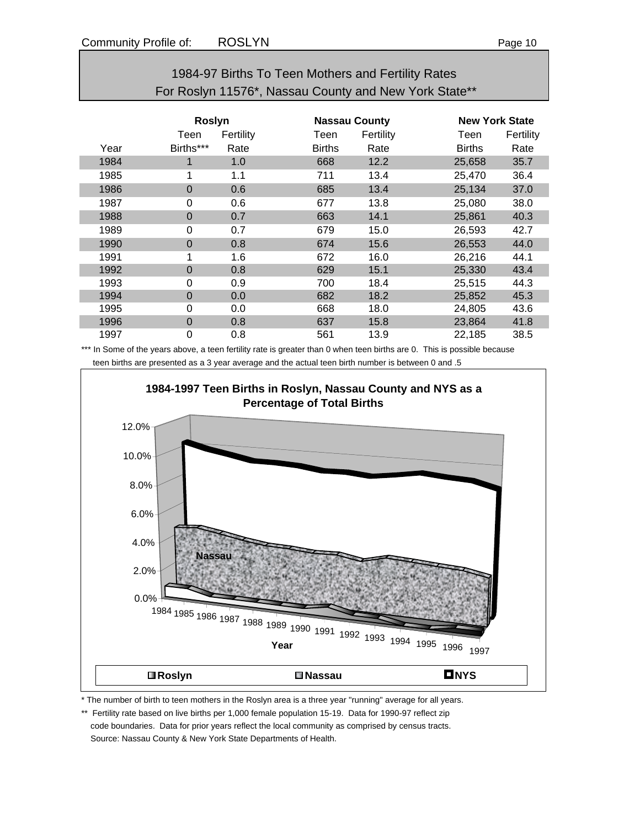|      |               |           |                      | 1984-97 Births To Teen Mothers and Fertility Rates    |                       |           |
|------|---------------|-----------|----------------------|-------------------------------------------------------|-----------------------|-----------|
|      |               |           |                      | For Roslyn 11576*, Nassau County and New York State** |                       |           |
|      | <b>Roslyn</b> |           | <b>Nassau County</b> |                                                       | <b>New York State</b> |           |
|      | Teen          | Fertility | Teen                 | Fertility                                             | Teen                  | Fertility |
| Year | Births***     | Rate      | <b>Births</b>        | Rate                                                  | <b>Births</b>         | Rate      |
| 1984 |               | 1.0       | 668                  | 12.2                                                  | 25,658                | 35.7      |

1985 1 1.1 711 13.4 25,470 36.4 1986 0 0.6 685 13.4 25,134 37.0 1987 0 0.6 677 13.8 25,080 38.0 1988 0 0.7 663 14.1 25,861 40.3 1989 0 0.7 679 15.0 26,593 42.7 1990 0 0.8 674 15.6 26,553 44.0 1991 1 1.6 672 16.0 26,216 44.1 1992 0 0.8 629 15.1 25,330 43.4 1993 0 0.9 700 18.4 25,515 44.3 1994 0 0.0 682 18.2 25,852 45.3 1995 0 0.0 668 18.0 24,805 43.6 1996 0 0.8 637 15.8 23,864 41.8 1997 0 0.8 561 13.9 22,185 38.5

\*\*\* In Some of the years above, a teen fertility rate is greater than 0 when teen births are 0. This is possible because teen births are presented as a 3 year average and the actual teen birth number is between 0 and .5



\* The number of birth to teen mothers in the Roslyn area is a three year "running" average for all years.

\*\* Fertility rate based on live births per 1,000 female population 15-19. Data for 1990-97 reflect zip code boundaries. Data for prior years reflect the local community as comprised by census tracts. Source: Nassau County & New York State Departments of Health.